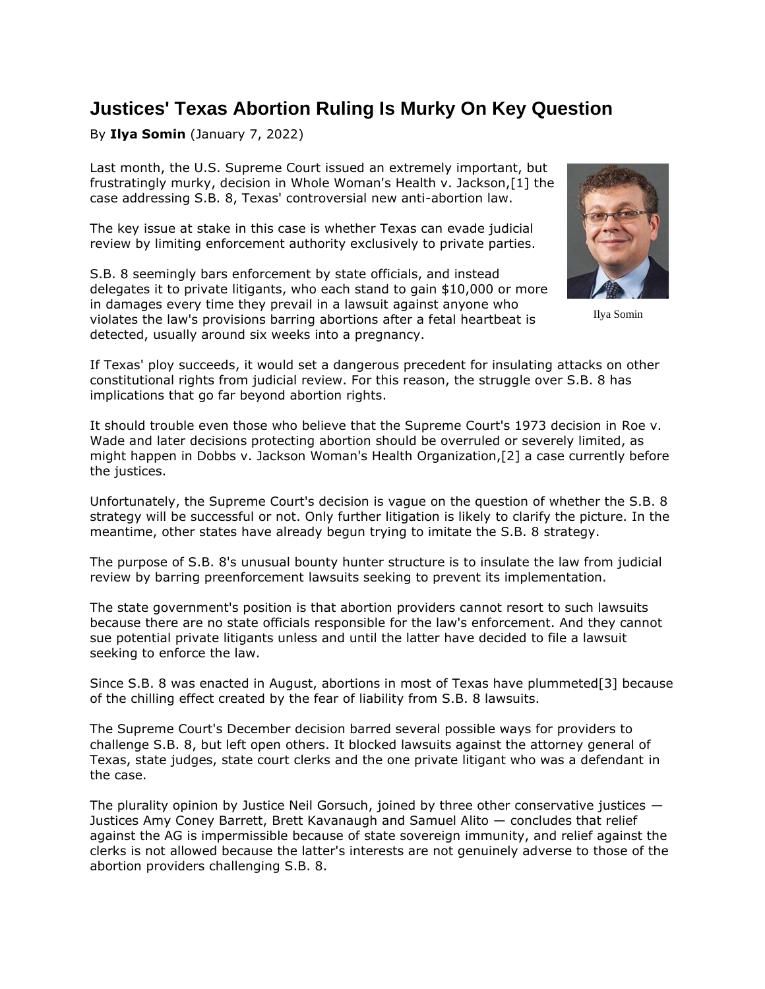## **Justices' Texas Abortion Ruling Is Murky On Key Question**

## By **Ilya Somin** (January 7, 2022)

Last month, the [U.S. Supreme Court](https://www.law360.com/agencies/u-s-supreme-court) [issued](https://www.law360.com/articles/1436801/justices-let-texas-keep-its-abortion-law-but-clinics-can-sue) an extremely important, but frustratingly murky, decision in Whole Woman's Health v. Jackson,[1] the case addressing S.B. 8, Texas' controversial new anti-abortion law.

The key issue at stake in this case is whether Texas can evade judicial review by limiting enforcement authority exclusively to private parties.

S.B. 8 seemingly bars enforcement by state officials, and instead delegates it to private litigants, who each stand to gain \$10,000 or more in damages every time they prevail in a lawsuit against anyone who violates the law's provisions barring abortions after a fetal heartbeat is detected, usually around six weeks into a pregnancy.



Ilya Somin

If Texas' ploy succeeds, it would set a dangerous precedent for insulating attacks on other constitutional rights from judicial review. For this reason, the struggle over S.B. 8 has implications that go far beyond abortion rights.

It should trouble even those who believe that the Supreme Court's 1973 decision in Roe v. Wade and later decisions protecting abortion should be overruled or severely limited, as might happen in Dobbs v. Jackson Woman's Health Organization,[2] a case currently before the justices.

Unfortunately, the Supreme Court's decision is vague on the question of whether the S.B. 8 strategy will be successful or not. Only further litigation is likely to clarify the picture. In the meantime, other states have already begun trying to imitate the S.B. 8 strategy.

The purpose of S.B. 8's unusual bounty hunter structure is to insulate the law from judicial review by barring preenforcement lawsuits seeking to prevent its implementation.

The state government's position is that abortion providers cannot resort to such lawsuits because there are no state officials responsible for the law's enforcement. And they cannot sue potential private litigants unless and until the latter have decided to file a lawsuit seeking to enforce the law.

Since S.B. 8 was enacted in August, abortions in most of Texas have plummeted[3] because of the chilling effect created by the fear of liability from S.B. 8 lawsuits.

The Supreme Court's December decision barred several possible ways for providers to challenge S.B. 8, but left open others. It blocked lawsuits against the attorney general of Texas, state judges, state court clerks and the one private litigant who was a defendant in the case.

The plurality opinion by Justice Neil Gorsuch, joined by three other conservative justices — Justices Amy Coney Barrett, Brett Kavanaugh and Samuel Alito — concludes that relief against the AG is impermissible because of state sovereign immunity, and relief against the clerks is not allowed because the latter's interests are not genuinely adverse to those of the abortion providers challenging S.B. 8.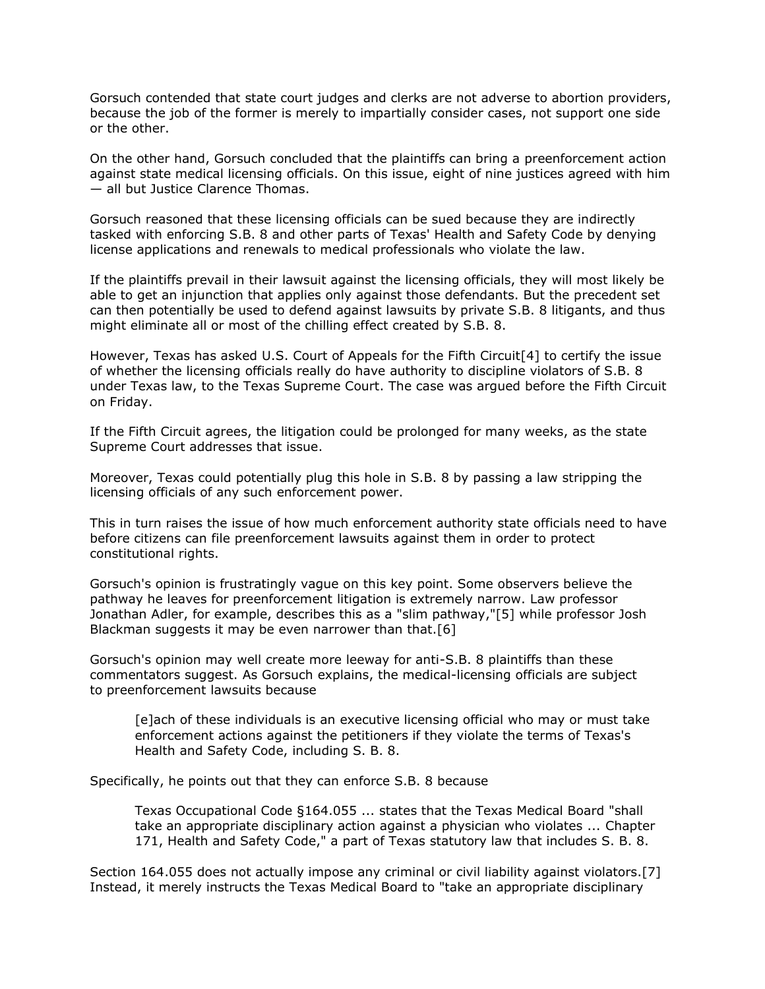Gorsuch contended that state court judges and clerks are not adverse to abortion providers, because the job of the former is merely to impartially consider cases, not support one side or the other.

On the other hand, Gorsuch concluded that the plaintiffs can bring a preenforcement action against state medical licensing officials. On this issue, eight of nine justices agreed with him — all but Justice Clarence Thomas.

Gorsuch reasoned that these licensing officials can be sued because they are indirectly tasked with enforcing S.B. 8 and other parts of Texas' Health and Safety Code by denying license applications and renewals to medical professionals who violate the law.

If the plaintiffs prevail in their lawsuit against the licensing officials, they will most likely be able to get an injunction that applies only against those defendants. But the precedent set can then potentially be used to defend against lawsuits by private S.B. 8 litigants, and thus might eliminate all or most of the chilling effect created by S.B. 8.

However, Texas has asked [U.S. Court of Appeals for the Fifth Circuit\[](https://www.law360.com/agencies/u-s-court-of-appeals-for-the-fifth-circuit)4] to certify the issue of whether the licensing officials really do have authority to discipline violators of S.B. 8 under Texas law, to the [Texas Supreme Court.](https://www.law360.com/agencies/texas-supreme-court) The case was argued before the Fifth Circuit on Friday.

If the Fifth Circuit agrees, the litigation could be prolonged for many weeks, as the state Supreme Court addresses that issue.

Moreover, Texas could potentially plug this hole in S.B. 8 by passing a law stripping the licensing officials of any such enforcement power.

This in turn raises the issue of how much enforcement authority state officials need to have before citizens can file preenforcement lawsuits against them in order to protect constitutional rights.

Gorsuch's opinion is frustratingly vague on this key point. Some observers believe the pathway he leaves for preenforcement litigation is extremely narrow. Law professor Jonathan Adler, for example, describes this as a "slim pathway,"[5] while professor Josh Blackman suggests it may be even narrower than that.[6]

Gorsuch's opinion may well create more leeway for anti-S.B. 8 plaintiffs than these commentators suggest. As Gorsuch explains, the medical-licensing officials are subject to preenforcement lawsuits because

[e]ach of these individuals is an executive licensing official who may or must take enforcement actions against the petitioners if they violate the terms of Texas's Health and Safety Code, including S. B. 8.

Specifically, he points out that they can enforce S.B. 8 because

Texas Occupational Code §164.055 ... states that the Texas Medical Board "shall take an appropriate disciplinary action against a physician who violates ... Chapter 171, Health and Safety Code," a part of Texas statutory law that includes S. B. 8.

Section 164.055 does not actually impose any criminal or civil liability against violators.[7] Instead, it merely instructs the Texas Medical Board to "take an appropriate disciplinary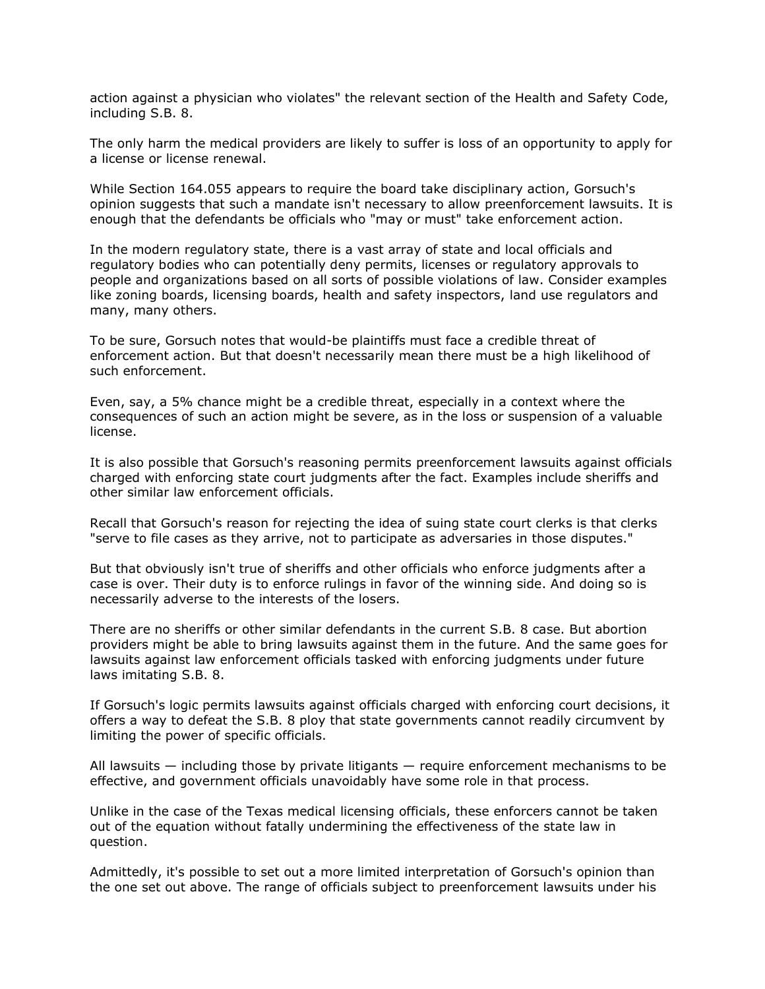action against a physician who violates" the relevant section of the Health and Safety Code, including S.B. 8.

The only harm the medical providers are likely to suffer is loss of an opportunity to apply for a license or license renewal.

While Section 164.055 appears to require the board take disciplinary action, Gorsuch's opinion suggests that such a mandate isn't necessary to allow preenforcement lawsuits. It is enough that the defendants be officials who "may or must" take enforcement action.

In the modern regulatory state, there is a vast array of state and local officials and regulatory bodies who can potentially deny permits, licenses or regulatory approvals to people and organizations based on all sorts of possible violations of law. Consider examples like zoning boards, licensing boards, health and safety inspectors, land use regulators and many, many others.

To be sure, Gorsuch notes that would-be plaintiffs must face a credible threat of enforcement action. But that doesn't necessarily mean there must be a high likelihood of such enforcement.

Even, say, a 5% chance might be a credible threat, especially in a context where the consequences of such an action might be severe, as in the loss or suspension of a valuable license.

It is also possible that Gorsuch's reasoning permits preenforcement lawsuits against officials charged with enforcing state court judgments after the fact. Examples include sheriffs and other similar law enforcement officials.

Recall that Gorsuch's reason for rejecting the idea of suing state court clerks is that clerks "serve to file cases as they arrive, not to participate as adversaries in those disputes."

But that obviously isn't true of sheriffs and other officials who enforce judgments after a case is over. Their duty is to enforce rulings in favor of the winning side. And doing so is necessarily adverse to the interests of the losers.

There are no sheriffs or other similar defendants in the current S.B. 8 case. But abortion providers might be able to bring lawsuits against them in the future. And the same goes for lawsuits against law enforcement officials tasked with enforcing judgments under future laws imitating S.B. 8.

If Gorsuch's logic permits lawsuits against officials charged with enforcing court decisions, it offers a way to defeat the S.B. 8 ploy that state governments cannot readily circumvent by limiting the power of specific officials.

All lawsuits — including those by private litigants — require enforcement mechanisms to be effective, and government officials unavoidably have some role in that process.

Unlike in the case of the Texas medical licensing officials, these enforcers cannot be taken out of the equation without fatally undermining the effectiveness of the state law in question.

Admittedly, it's possible to set out a more limited interpretation of Gorsuch's opinion than the one set out above. The range of officials subject to preenforcement lawsuits under his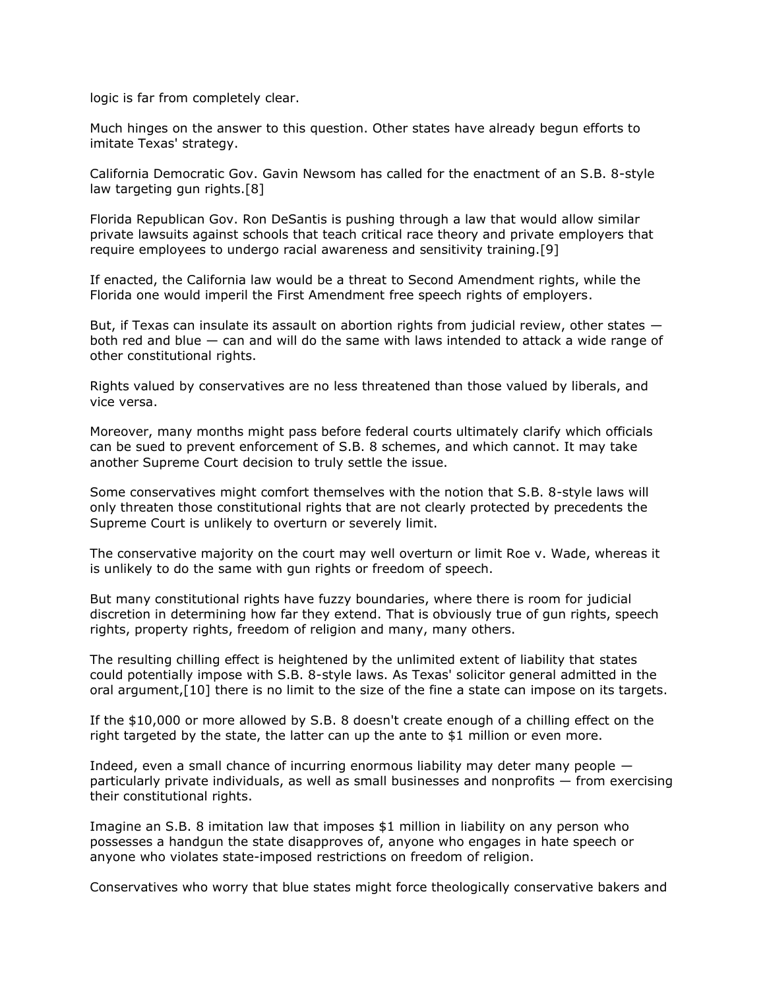logic is far from completely clear.

Much hinges on the answer to this question. Other states have already begun efforts to imitate Texas' strategy.

California Democratic Gov. Gavin Newsom has called for the enactment of an S.B. 8-style law targeting gun rights.[8]

Florida Republican Gov. Ron DeSantis is pushing through a law that would allow similar private lawsuits against schools that teach critical race theory and private employers that require employees to undergo racial awareness and sensitivity training.[9]

If enacted, the California law would be a threat to Second Amendment rights, while the Florida one would imperil the First Amendment free speech rights of employers.

But, if Texas can insulate its assault on abortion rights from judicial review, other states  $$ both red and blue — can and will do the same with laws intended to attack a wide range of other constitutional rights.

Rights valued by conservatives are no less threatened than those valued by liberals, and vice versa.

Moreover, many months might pass before federal courts ultimately clarify which officials can be sued to prevent enforcement of S.B. 8 schemes, and which cannot. It may take another Supreme Court decision to truly settle the issue.

Some conservatives might comfort themselves with the notion that S.B. 8-style laws will only threaten those constitutional rights that are not clearly protected by precedents the Supreme Court is unlikely to overturn or severely limit.

The conservative majority on the court may well overturn or limit Roe v. Wade, whereas it is unlikely to do the same with gun rights or freedom of speech.

But many constitutional rights have fuzzy boundaries, where there is room for judicial discretion in determining how far they extend. That is obviously true of gun rights, speech rights, property rights, freedom of religion and many, many others.

The resulting chilling effect is heightened by the unlimited extent of liability that states could potentially impose with S.B. 8-style laws. As Texas' solicitor general admitted in the oral argument,[10] there is no limit to the size of the fine a state can impose on its targets.

If the \$10,000 or more allowed by S.B. 8 doesn't create enough of a chilling effect on the right targeted by the state, the latter can up the ante to \$1 million or even more.

Indeed, even a small chance of incurring enormous liability may deter many people particularly private individuals, as well as small businesses and nonprofits — from exercising their constitutional rights.

Imagine an S.B. 8 imitation law that imposes \$1 million in liability on any person who possesses a handgun the state disapproves of, anyone who engages in hate speech or anyone who violates state-imposed restrictions on freedom of religion.

Conservatives who worry that blue states might force theologically conservative bakers and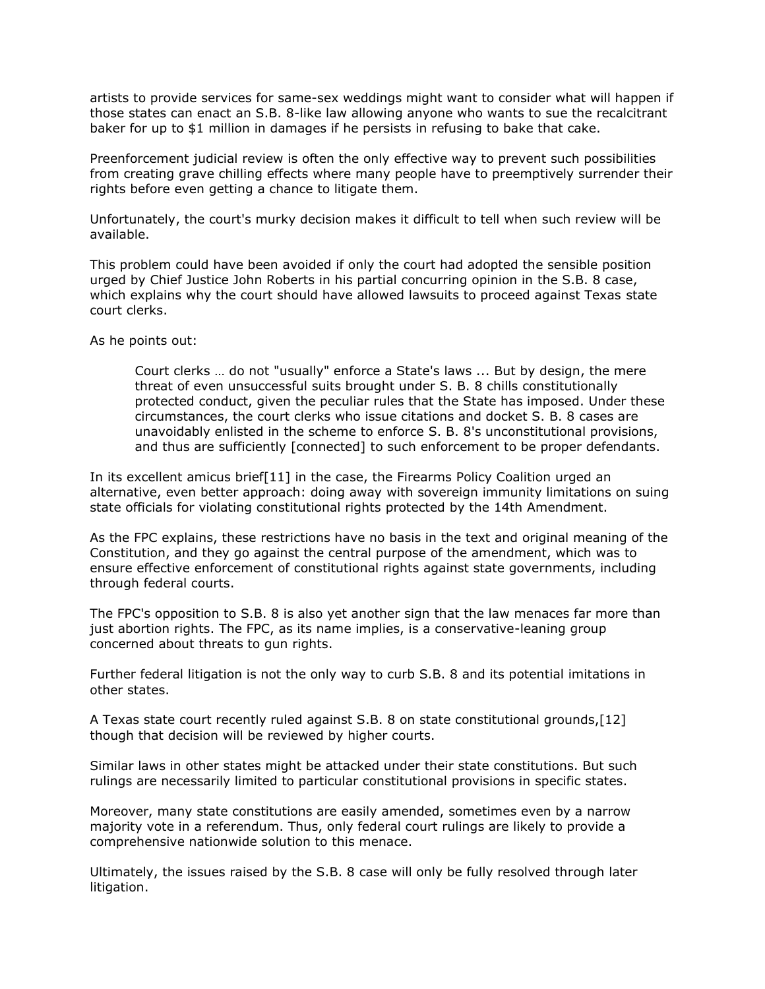artists to provide services for same-sex weddings might want to consider what will happen if those states can enact an S.B. 8-like law allowing anyone who wants to sue the recalcitrant baker for up to \$1 million in damages if he persists in refusing to bake that cake.

Preenforcement judicial review is often the only effective way to prevent such possibilities from creating grave chilling effects where many people have to preemptively surrender their rights before even getting a chance to litigate them.

Unfortunately, the court's murky decision makes it difficult to tell when such review will be available.

This problem could have been avoided if only the court had adopted the sensible position urged by Chief Justice John Roberts in his partial concurring opinion in the S.B. 8 case, which explains why the court should have allowed lawsuits to proceed against Texas state court clerks.

As he points out:

Court clerks … do not "usually" enforce a State's laws ... But by design, the mere threat of even unsuccessful suits brought under S. B. 8 chills constitutionally protected conduct, given the peculiar rules that the State has imposed. Under these circumstances, the court clerks who issue citations and docket S. B. 8 cases are unavoidably enlisted in the scheme to enforce S. B. 8's unconstitutional provisions, and thus are sufficiently [connected] to such enforcement to be proper defendants.

In its excellent amicus brief[11] in the case, the Firearms Policy Coalition urged an alternative, even better approach: doing away with sovereign immunity limitations on suing state officials for violating constitutional rights protected by the 14th Amendment.

As the FPC explains, these restrictions have no basis in the text and original meaning of the Constitution, and they go against the central purpose of the amendment, which was to ensure effective enforcement of constitutional rights against state governments, including through federal courts.

The FPC's opposition to S.B. 8 is also yet another sign that the law menaces far more than just abortion rights. The FPC, as its name implies, is a conservative-leaning group concerned about threats to gun rights.

Further federal litigation is not the only way to curb S.B. 8 and its potential imitations in other states.

A Texas state court recently ruled against S.B. 8 on state constitutional grounds,[12] though that decision will be reviewed by higher courts.

Similar laws in other states might be attacked under their state constitutions. But such rulings are necessarily limited to particular constitutional provisions in specific states.

Moreover, many state constitutions are easily amended, sometimes even by a narrow majority vote in a referendum. Thus, only federal court rulings are likely to provide a comprehensive nationwide solution to this menace.

Ultimately, the issues raised by the S.B. 8 case will only be fully resolved through later litigation.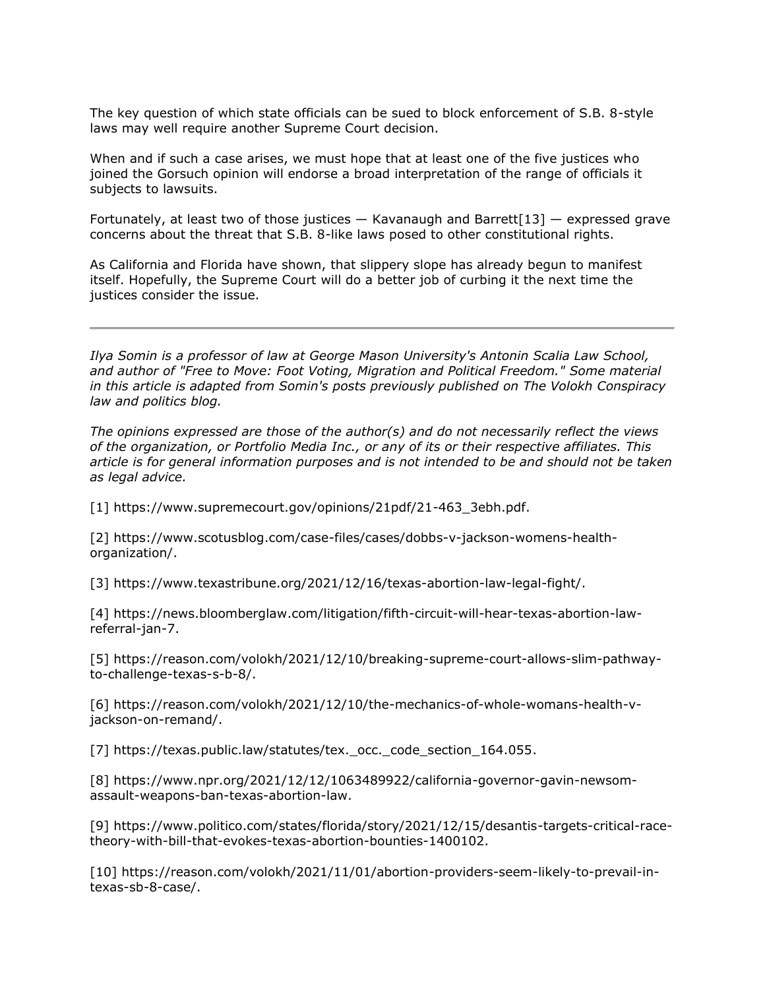The key question of which state officials can be sued to block enforcement of S.B. 8-style laws may well require another Supreme Court decision.

When and if such a case arises, we must hope that at least one of the five justices who joined the Gorsuch opinion will endorse a broad interpretation of the range of officials it subjects to lawsuits.

Fortunately, at least two of those justices  $-$  Kavanaugh and Barrett[13]  $-$  expressed grave concerns about the threat that S.B. 8-like laws posed to other constitutional rights.

As California and Florida have shown, that slippery slope has already begun to manifest itself. Hopefully, the Supreme Court will do a better job of curbing it the next time the justices consider the issue.

*[Ilya Somin](https://www.law.gmu.edu/faculty/directory/fulltime/somin_ilya) is a professor of law at George Mason University's Antonin Scalia Law School, and author of "Free to Move: Foot Voting, Migration and Political Freedom." Some material in this article is adapted from Somin's posts previously published on The Volokh Conspiracy law and politics blog.*

*The opinions expressed are those of the author(s) and do not necessarily reflect the views of the organization, or Portfolio Media Inc., or any of its or their respective affiliates. This article is for general information purposes and is not intended to be and should not be taken as legal advice.*

[1] [https://www.supremecourt.gov/opinions/21pdf/21-463\\_3ebh.pdf.](https://www.supremecourt.gov/opinions/21pdf/21-463_3ebh.pdf)

[2] [https://www.scotusblog.com/case-files/cases/dobbs-v-jackson-womens-health](https://www.scotusblog.com/case-files/cases/dobbs-v-jackson-womens-health-organization/)[organization/.](https://www.scotusblog.com/case-files/cases/dobbs-v-jackson-womens-health-organization/)

[3] [https://www.texastribune.org/2021/12/16/texas-abortion-law-legal-fight/.](https://www.texastribune.org/2021/12/16/texas-abortion-law-legal-fight/)

[4] [https://news.bloomberglaw.com/litigation/fifth-circuit-will-hear-texas-abortion-law](https://news.bloomberglaw.com/litigation/fifth-circuit-will-hear-texas-abortion-law-referral-jan-7)[referral-jan-7.](https://news.bloomberglaw.com/litigation/fifth-circuit-will-hear-texas-abortion-law-referral-jan-7)

[5] [https://reason.com/volokh/2021/12/10/breaking-supreme-court-allows-slim-pathway](https://reason.com/volokh/2021/12/10/breaking-supreme-court-allows-slim-pathway-to-challenge-texas-s-b-8/)[to-challenge-texas-s-b-8/.](https://reason.com/volokh/2021/12/10/breaking-supreme-court-allows-slim-pathway-to-challenge-texas-s-b-8/)

[6] [https://reason.com/volokh/2021/12/10/the-mechanics-of-whole-womans-health-v](https://reason.com/volokh/2021/12/10/the-mechanics-of-whole-womans-health-v-jackson-on-remand/)[jackson-on-remand/.](https://reason.com/volokh/2021/12/10/the-mechanics-of-whole-womans-health-v-jackson-on-remand/)

[7] https://texas.public.law/statutes/tex. occ. code section 164.055.

[8] [https://www.npr.org/2021/12/12/1063489922/california-governor-gavin-newsom](https://www.npr.org/2021/12/12/1063489922/california-governor-gavin-newsom-assault-weapons-ban-texas-abortion-law)[assault-weapons-ban-texas-abortion-law.](https://www.npr.org/2021/12/12/1063489922/california-governor-gavin-newsom-assault-weapons-ban-texas-abortion-law)

[9] [https://www.politico.com/states/florida/story/2021/12/15/desantis-targets-critical-race](https://www.politico.com/states/florida/story/2021/12/15/desantis-targets-critical-race-theory-with-bill-that-evokes-texas-abortion-bounties-1400102)[theory-with-bill-that-evokes-texas-abortion-bounties-1400102.](https://www.politico.com/states/florida/story/2021/12/15/desantis-targets-critical-race-theory-with-bill-that-evokes-texas-abortion-bounties-1400102)

[10] [https://reason.com/volokh/2021/11/01/abortion-providers-seem-likely-to-prevail-in](https://reason.com/volokh/2021/11/01/abortion-providers-seem-likely-to-prevail-in-texas-sb-8-case/)[texas-sb-8-case/.](https://reason.com/volokh/2021/11/01/abortion-providers-seem-likely-to-prevail-in-texas-sb-8-case/)